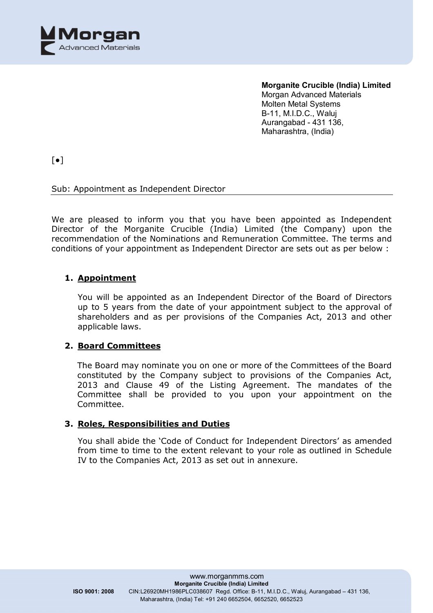

 $\lceil \bullet \rceil$ 

## Sub: Appointment as Independent Director

We are pleased to inform you that you have been appointed as Independent Director of the Morganite Crucible (India) Limited (the Company) upon the recommendation of the Nominations and Remuneration Committee. The terms and conditions of your appointment as Independent Director are sets out as per below :

## **1. Appointment**

You will be appointed as an Independent Director of the Board of Directors up to 5 years from the date of your appointment subject to the approval of shareholders and as per provisions of the Companies Act, 2013 and other applicable laws.

## **2. Board Committees**

The Board may nominate you on one or more of the Committees of the Board constituted by the Company subject to provisions of the Companies Act, 2013 and Clause 49 of the Listing Agreement. The mandates of the Committee shall be provided to you upon your appointment on the Committee.

## **3. Roles, Responsibilities and Duties**

You shall abide the 'Code of Conduct for Independent Directors' as amended from time to time to the extent relevant to your role as outlined in Schedule IV to the Companies Act, 2013 as set out in annexure.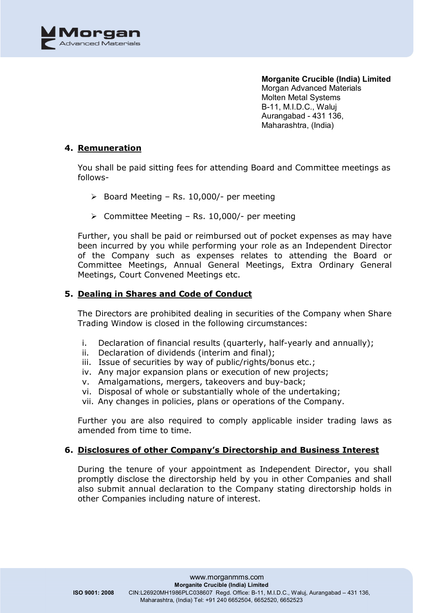

### **4. Remuneration**

You shall be paid sitting fees for attending Board and Committee meetings as follows-

- $\geq$  Board Meeting Rs. 10,000/- per meeting
- $\triangleright$  Committee Meeting Rs. 10,000/- per meeting

Further, you shall be paid or reimbursed out of pocket expenses as may have been incurred by you while performing your role as an Independent Director of the Company such as expenses relates to attending the Board or Committee Meetings, Annual General Meetings, Extra Ordinary General Meetings, Court Convened Meetings etc.

### **5. Dealing in Shares and Code of Conduct**

The Directors are prohibited dealing in securities of the Company when Share Trading Window is closed in the following circumstances:

- i. Declaration of financial results (quarterly, half-yearly and annually);
- ii. Declaration of dividends (interim and final);
- iii. Issue of securities by way of public/rights/bonus etc.;
- iv. Any major expansion plans or execution of new projects;
- v. Amalgamations, mergers, takeovers and buy-back;
- vi. Disposal of whole or substantially whole of the undertaking;
- vii. Any changes in policies, plans or operations of the Company.

Further you are also required to comply applicable insider trading laws as amended from time to time.

### **6. Disclosures of other Company's Directorship and Business Interest**

During the tenure of your appointment as Independent Director, you shall promptly disclose the directorship held by you in other Companies and shall also submit annual declaration to the Company stating directorship holds in other Companies including nature of interest.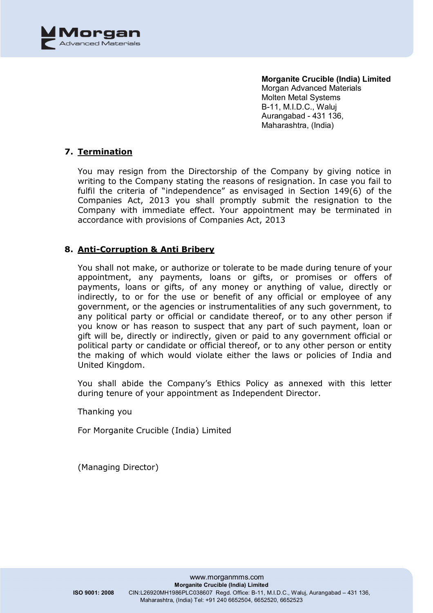

## **7. Termination**

You may resign from the Directorship of the Company by giving notice in writing to the Company stating the reasons of resignation. In case you fail to fulfil the criteria of "independence" as envisaged in Section 149(6) of the Companies Act, 2013 you shall promptly submit the resignation to the Company with immediate effect. Your appointment may be terminated in accordance with provisions of Companies Act, 2013

## **8. Anti-Corruption & Anti Bribery**

You shall not make, or authorize or tolerate to be made during tenure of your appointment, any payments, loans or gifts, or promises or offers of payments, loans or gifts, of any money or anything of value, directly or indirectly, to or for the use or benefit of any official or employee of any government, or the agencies or instrumentalities of any such government, to any political party or official or candidate thereof, or to any other person if you know or has reason to suspect that any part of such payment, loan or gift will be, directly or indirectly, given or paid to any government official or political party or candidate or official thereof, or to any other person or entity the making of which would violate either the laws or policies of India and United Kingdom.

You shall abide the Company's Ethics Policy as annexed with this letter during tenure of your appointment as Independent Director.

Thanking you

For Morganite Crucible (India) Limited

(Managing Director)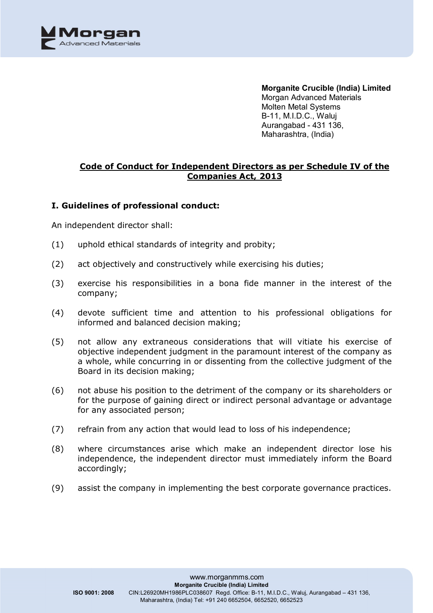

## **Code of Conduct for Independent Directors as per Schedule IV of the Companies Act, 2013**

### **I. Guidelines of professional conduct:**

An independent director shall:

- (1) uphold ethical standards of integrity and probity;
- (2) act objectively and constructively while exercising his duties;
- (3) exercise his responsibilities in a bona fide manner in the interest of the company;
- (4) devote sufficient time and attention to his professional obligations for informed and balanced decision making;
- (5) not allow any extraneous considerations that will vitiate his exercise of objective independent judgment in the paramount interest of the company as a whole, while concurring in or dissenting from the collective judgment of the Board in its decision making;
- (6) not abuse his position to the detriment of the company or its shareholders or for the purpose of gaining direct or indirect personal advantage or advantage for any associated person;
- (7) refrain from any action that would lead to loss of his independence;
- (8) where circumstances arise which make an independent director lose his independence, the independent director must immediately inform the Board accordingly;
- (9) assist the company in implementing the best corporate governance practices.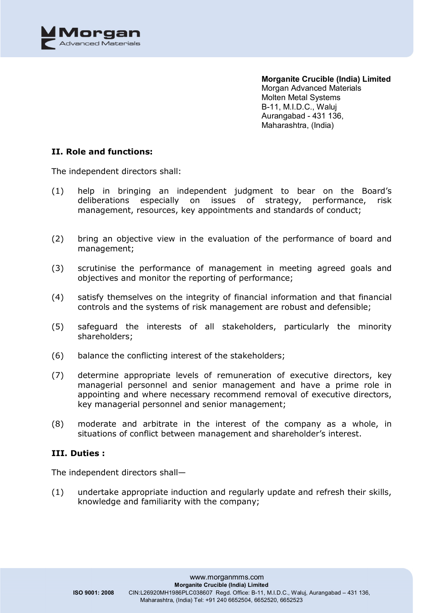

### **II. Role and functions:**

The independent directors shall:

- (1) help in bringing an independent judgment to bear on the Board's deliberations especially on issues of strategy, performance, risk management, resources, key appointments and standards of conduct;
- (2) bring an objective view in the evaluation of the performance of board and management;
- (3) scrutinise the performance of management in meeting agreed goals and objectives and monitor the reporting of performance;
- (4) satisfy themselves on the integrity of financial information and that financial controls and the systems of risk management are robust and defensible;
- (5) safeguard the interests of all stakeholders, particularly the minority shareholders;
- (6) balance the conflicting interest of the stakeholders;
- (7) determine appropriate levels of remuneration of executive directors, key managerial personnel and senior management and have a prime role in appointing and where necessary recommend removal of executive directors, key managerial personnel and senior management;
- (8) moderate and arbitrate in the interest of the company as a whole, in situations of conflict between management and shareholder's interest.

### **III. Duties :**

The independent directors shall—

(1) undertake appropriate induction and regularly update and refresh their skills, knowledge and familiarity with the company;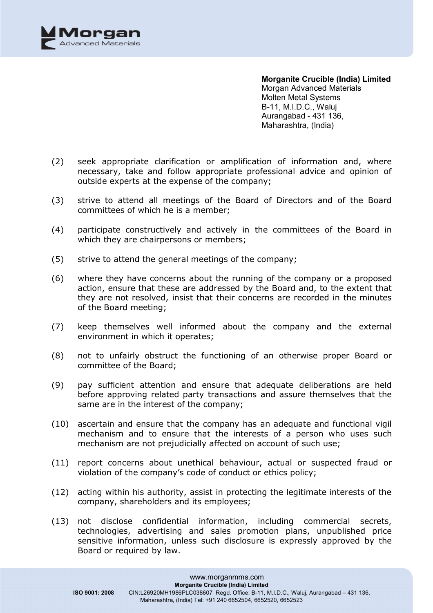

- (2) seek appropriate clarification or amplification of information and, where necessary, take and follow appropriate professional advice and opinion of outside experts at the expense of the company;
- (3) strive to attend all meetings of the Board of Directors and of the Board committees of which he is a member;
- (4) participate constructively and actively in the committees of the Board in which they are chairpersons or members;
- (5) strive to attend the general meetings of the company;
- (6) where they have concerns about the running of the company or a proposed action, ensure that these are addressed by the Board and, to the extent that they are not resolved, insist that their concerns are recorded in the minutes of the Board meeting;
- (7) keep themselves well informed about the company and the external environment in which it operates;
- (8) not to unfairly obstruct the functioning of an otherwise proper Board or committee of the Board;
- (9) pay sufficient attention and ensure that adequate deliberations are held before approving related party transactions and assure themselves that the same are in the interest of the company;
- (10) ascertain and ensure that the company has an adequate and functional vigil mechanism and to ensure that the interests of a person who uses such mechanism are not prejudicially affected on account of such use;
- (11) report concerns about unethical behaviour, actual or suspected fraud or violation of the company's code of conduct or ethics policy;
- (12) acting within his authority, assist in protecting the legitimate interests of the company, shareholders and its employees;
- (13) not disclose confidential information, including commercial secrets, technologies, advertising and sales promotion plans, unpublished price sensitive information, unless such disclosure is expressly approved by the Board or required by law.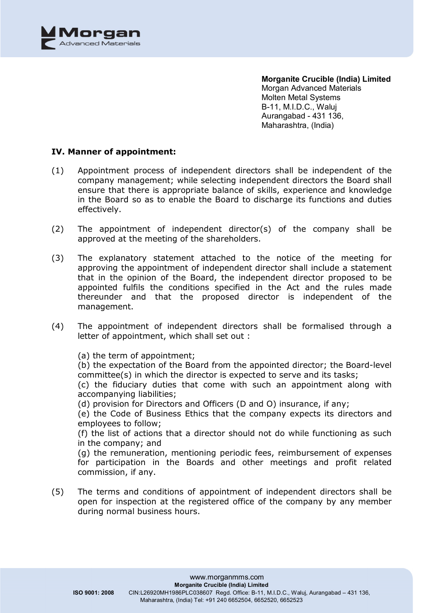

### **IV. Manner of appointment:**

- (1) Appointment process of independent directors shall be independent of the company management; while selecting independent directors the Board shall ensure that there is appropriate balance of skills, experience and knowledge in the Board so as to enable the Board to discharge its functions and duties effectively.
- (2) The appointment of independent director(s) of the company shall be approved at the meeting of the shareholders.
- (3) The explanatory statement attached to the notice of the meeting for approving the appointment of independent director shall include a statement that in the opinion of the Board, the independent director proposed to be appointed fulfils the conditions specified in the Act and the rules made thereunder and that the proposed director is independent of the management.
- (4) The appointment of independent directors shall be formalised through a letter of appointment, which shall set out :

(a) the term of appointment; (b) the expectation of the Board from the appointed director; the Board-level committee(s) in which the director is expected to serve and its tasks; (c) the fiduciary duties that come with such an appointment along with accompanying liabilities; (d) provision for Directors and Officers (D and O) insurance, if any; (e) the Code of Business Ethics that the company expects its directors and employees to follow; (f) the list of actions that a director should not do while functioning as such in the company; and (g) the remuneration, mentioning periodic fees, reimbursement of expenses for participation in the Boards and other meetings and profit related commission, if any.

(5) The terms and conditions of appointment of independent directors shall be open for inspection at the registered office of the company by any member during normal business hours.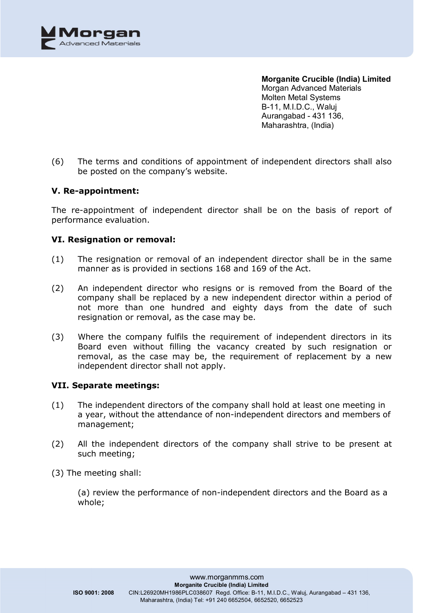

(6) The terms and conditions of appointment of independent directors shall also be posted on the company's website.

### **V. Re-appointment:**

The re-appointment of independent director shall be on the basis of report of performance evaluation.

### **VI. Resignation or removal:**

- (1) The resignation or removal of an independent director shall be in the same manner as is provided in sections 168 and 169 of the Act.
- (2) An independent director who resigns or is removed from the Board of the company shall be replaced by a new independent director within a period of not more than one hundred and eighty days from the date of such resignation or removal, as the case may be.
- (3) Where the company fulfils the requirement of independent directors in its Board even without filling the vacancy created by such resignation or removal, as the case may be, the requirement of replacement by a new independent director shall not apply.

### **VII. Separate meetings:**

- (1) The independent directors of the company shall hold at least one meeting in a year, without the attendance of non-independent directors and members of management;
- (2) All the independent directors of the company shall strive to be present at such meeting;
- (3) The meeting shall:

(a) review the performance of non-independent directors and the Board as a whole;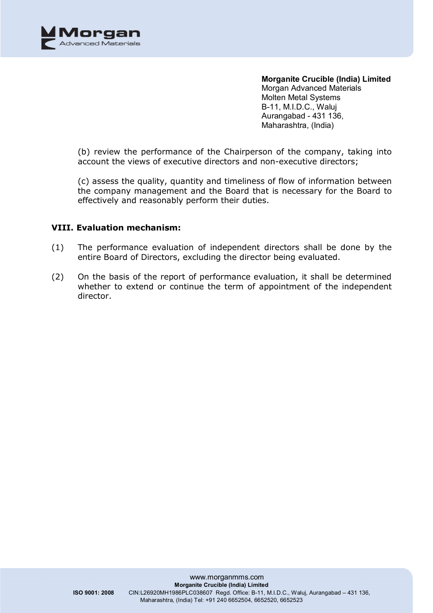

(b) review the performance of the Chairperson of the company, taking into account the views of executive directors and non-executive directors;

(c) assess the quality, quantity and timeliness of flow of information between the company management and the Board that is necessary for the Board to effectively and reasonably perform their duties.

### **VIII. Evaluation mechanism:**

- (1) The performance evaluation of independent directors shall be done by the entire Board of Directors, excluding the director being evaluated.
- (2) On the basis of the report of performance evaluation, it shall be determined whether to extend or continue the term of appointment of the independent director.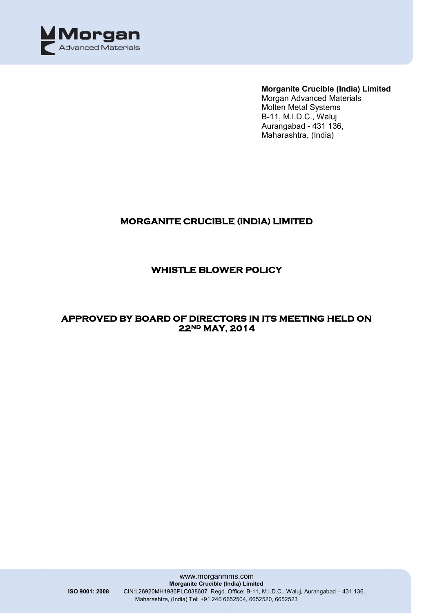

**Morganite Crucible (India) Limited**

Morgan Advanced Materials Molten Metal Systems B-11, M.I.D.C., Waluj Aurangabad - 431 136, Maharashtra, (India)

# **MORGANITE CRUCIBLE (INDIA) LIMITED**

# **WHISTLE BLOWER POLICY**

## **APPROVED BY BOARD OF DIRECTORS IN ITS MEETING HELD ON 22ND MAY, 2014**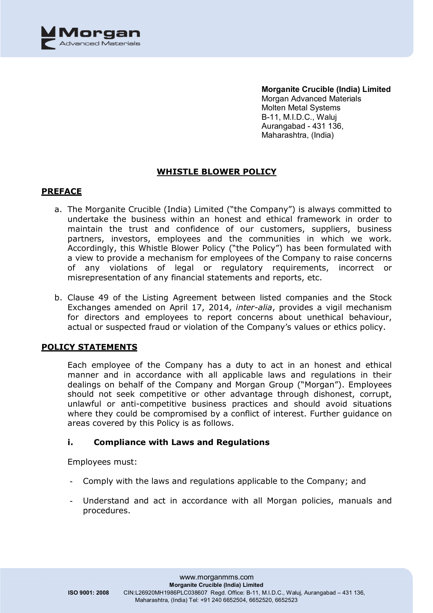

**Morganite Crucible (India) Limited** Morgan Advanced Materials Molten Metal Systems B-11, M.I.D.C., Waluj

Aurangabad - 431 136, Maharashtra, (India)

# **WHISTLE BLOWER POLICY**

### **PREFACE**

- a. The Morganite Crucible (India) Limited ("the Company") is always committed to undertake the business within an honest and ethical framework in order to maintain the trust and confidence of our customers, suppliers, business partners, investors, employees and the communities in which we work. Accordingly, this Whistle Blower Policy ("the Policy") has been formulated with a view to provide a mechanism for employees of the Company to raise concerns of any violations of legal or regulatory requirements, incorrect or misrepresentation of any financial statements and reports, etc.
- b. Clause 49 of the Listing Agreement between listed companies and the Stock Exchanges amended on April 17, 2014, *inter-alia*, provides a vigil mechanism for directors and employees to report concerns about unethical behaviour, actual or suspected fraud or violation of the Company's values or ethics policy.

### **POLICY STATEMENTS**

Each employee of the Company has a duty to act in an honest and ethical manner and in accordance with all applicable laws and regulations in their dealings on behalf of the Company and Morgan Group ("Morgan"). Employees should not seek competitive or other advantage through dishonest, corrupt, unlawful or anti-competitive business practices and should avoid situations where they could be compromised by a conflict of interest. Further guidance on areas covered by this Policy is as follows.

### **i. Compliance with Laws and Regulations**

Employees must:

- Comply with the laws and regulations applicable to the Company; and
- Understand and act in accordance with all Morgan policies, manuals and procedures.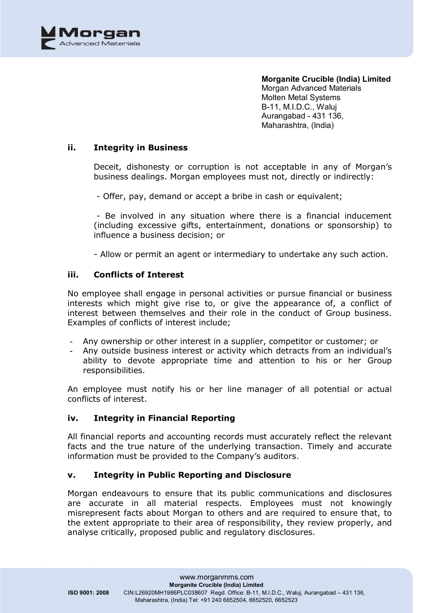

### **ii. Integrity in Business**

Deceit, dishonesty or corruption is not acceptable in any of Morgan's business dealings. Morgan employees must not, directly or indirectly:

- Offer, pay, demand or accept a bribe in cash or equivalent;

- Be involved in any situation where there is a financial inducement (including excessive gifts, entertainment, donations or sponsorship) to influence a business decision; or

- Allow or permit an agent or intermediary to undertake any such action.

### **iii. Conflicts of Interest**

No employee shall engage in personal activities or pursue financial or business interests which might give rise to, or give the appearance of, a conflict of interest between themselves and their role in the conduct of Group business. Examples of conflicts of interest include;

- Any ownership or other interest in a supplier, competitor or customer; or
- Any outside business interest or activity which detracts from an individual's ability to devote appropriate time and attention to his or her Group responsibilities.

An employee must notify his or her line manager of all potential or actual conflicts of interest.

### **iv. Integrity in Financial Reporting**

All financial reports and accounting records must accurately reflect the relevant facts and the true nature of the underlying transaction. Timely and accurate information must be provided to the Company's auditors.

### **v. Integrity in Public Reporting and Disclosure**

Morgan endeavours to ensure that its public communications and disclosures are accurate in all material respects. Employees must not knowingly misrepresent facts about Morgan to others and are required to ensure that, to the extent appropriate to their area of responsibility, they review properly, and analyse critically, proposed public and regulatory disclosures.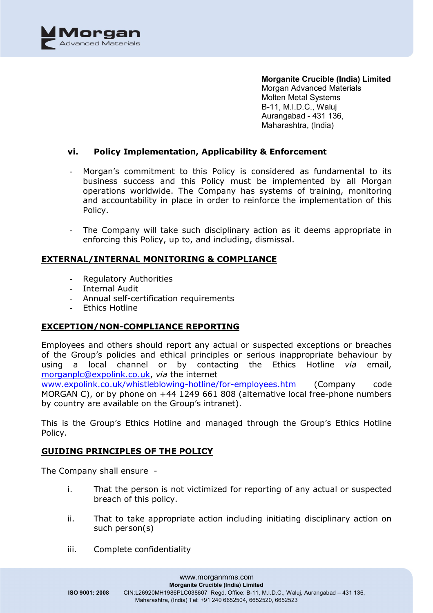

### **vi. Policy Implementation, Applicability & Enforcement**

- Morgan's commitment to this Policy is considered as fundamental to its business success and this Policy must be implemented by all Morgan operations worldwide. The Company has systems of training, monitoring and accountability in place in order to reinforce the implementation of this Policy.
- The Company will take such disciplinary action as it deems appropriate in enforcing this Policy, up to, and including, dismissal.

### **EXTERNAL/INTERNAL MONITORING & COMPLIANCE**

- Regulatory Authorities
- Internal Audit
- Annual self-certification requirements
- Ethics Hotline

### **EXCEPTION/NON-COMPLIANCE REPORTING**

Employees and others should report any actual or suspected exceptions or breaches of the Group's policies and ethical principles or serious inappropriate behaviour by using a local channel or by contacting the Ethics Hotline *via* email, [morganplc@expolink.co.uk,](mailto:morganplc@expolink.co.uk,) *via* the internet

[www.expolink.co.uk/whistleblowing-hotline/for-employees.htm](http://www.expolink.co.uk/whistleblowing-hotline/for-employees.htm) (Company code MORGAN C), or by phone on +44 1249 661 808 (alternative local free-phone numbers by country are available on the Group's intranet).

This is the Group's Ethics Hotline and managed through the Group's Ethics Hotline Policy.

### **GUIDING PRINCIPLES OF THE POLICY**

The Company shall ensure -

- i. That the person is not victimized for reporting of any actual or suspected breach of this policy.
- ii. That to take appropriate action including initiating disciplinary action on such person(s)
- iii. Complete confidentiality